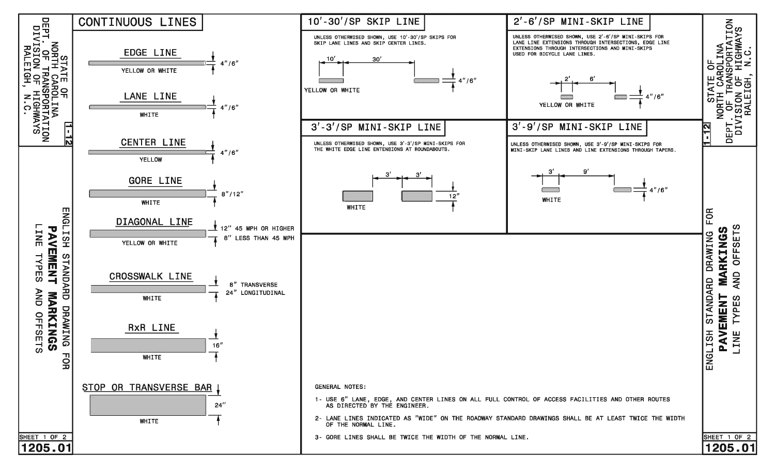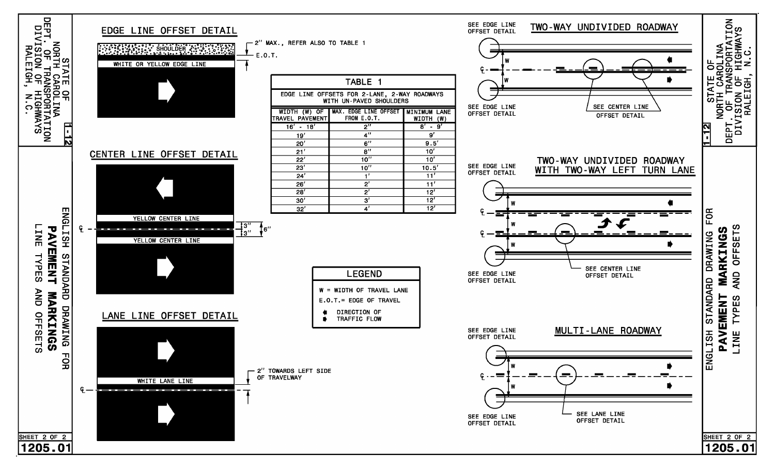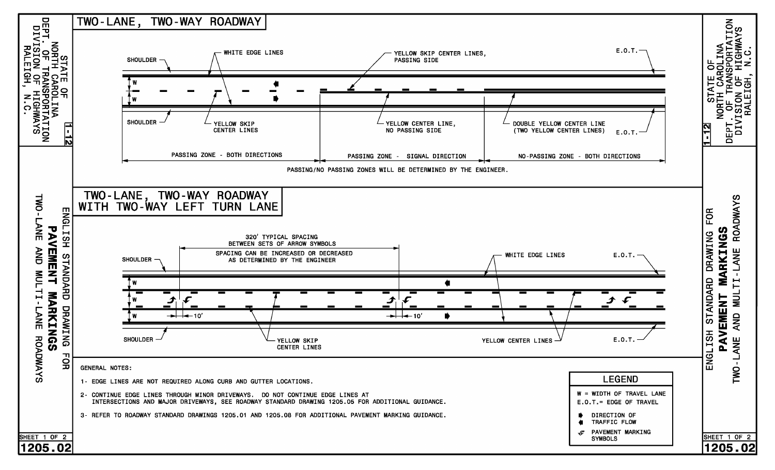![](_page_2_Figure_0.jpeg)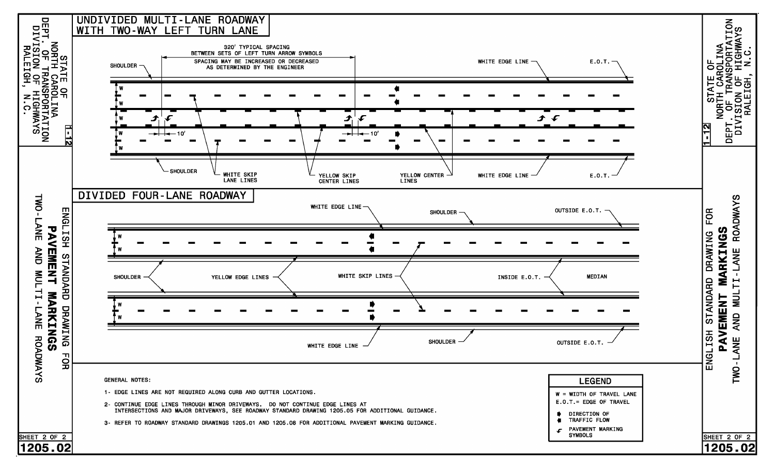![](_page_3_Figure_0.jpeg)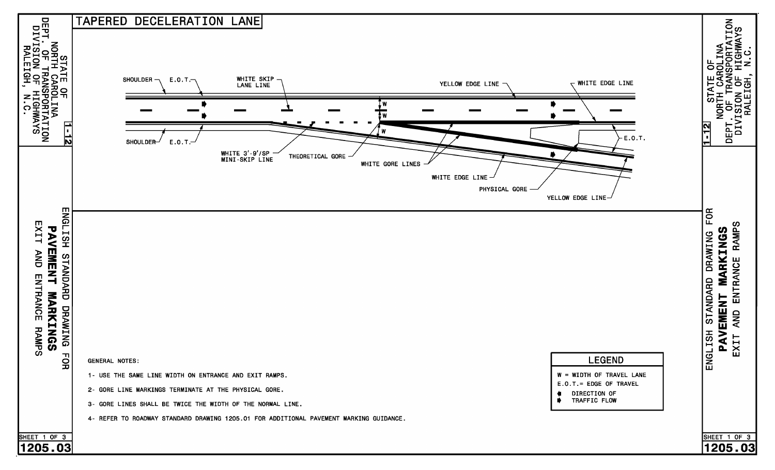![](_page_4_Figure_0.jpeg)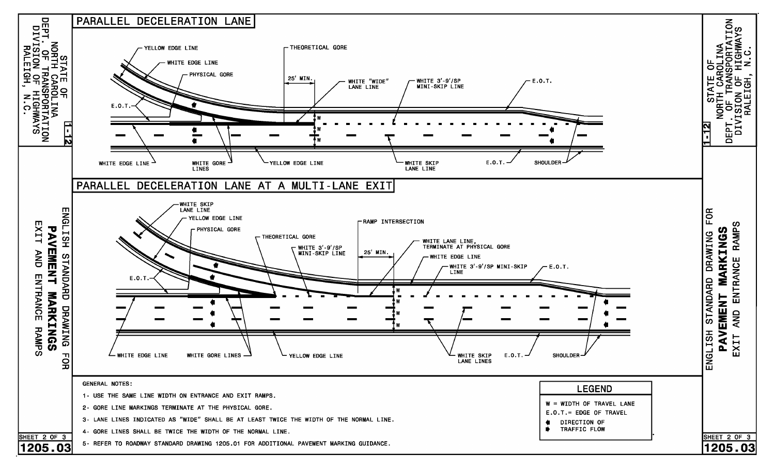![](_page_5_Figure_0.jpeg)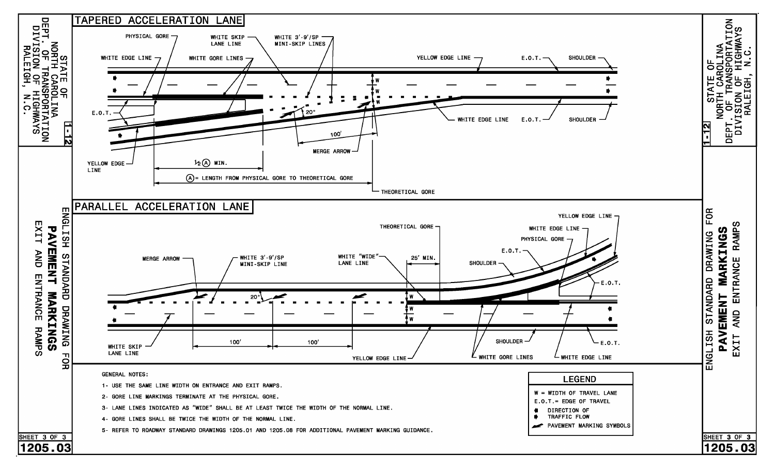![](_page_6_Figure_0.jpeg)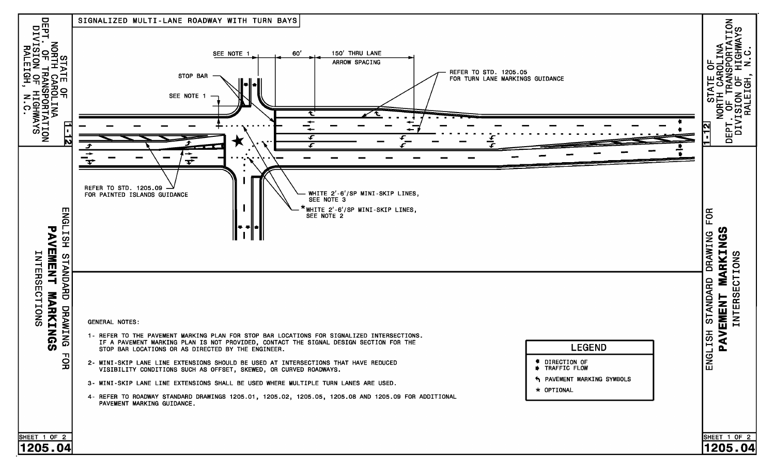![](_page_7_Figure_0.jpeg)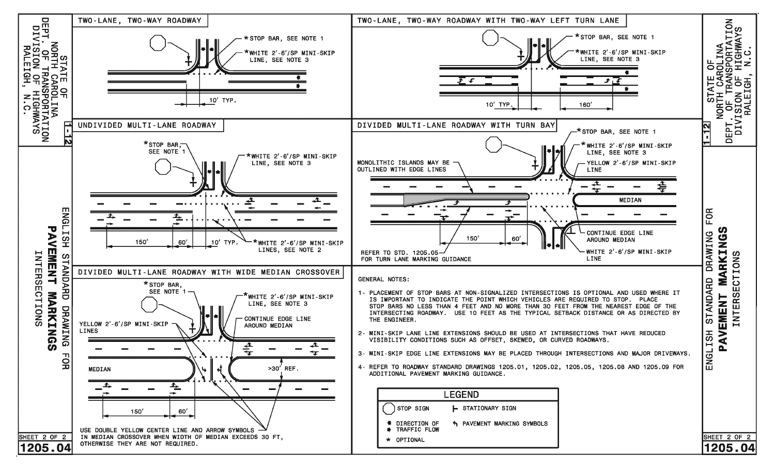![](_page_8_Figure_0.jpeg)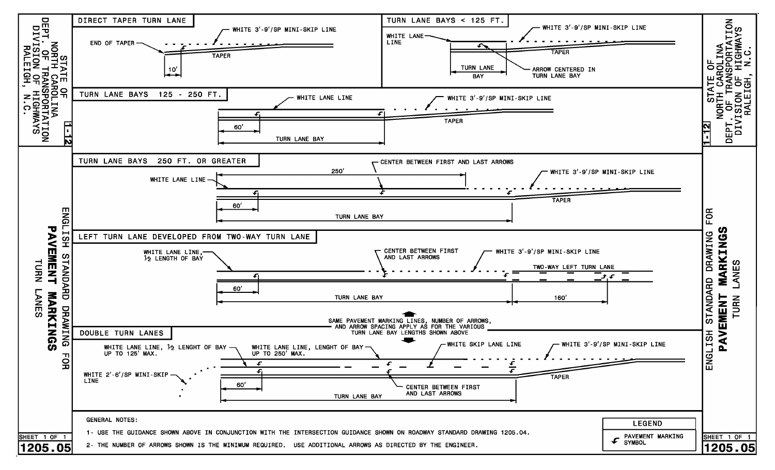![](_page_9_Figure_0.jpeg)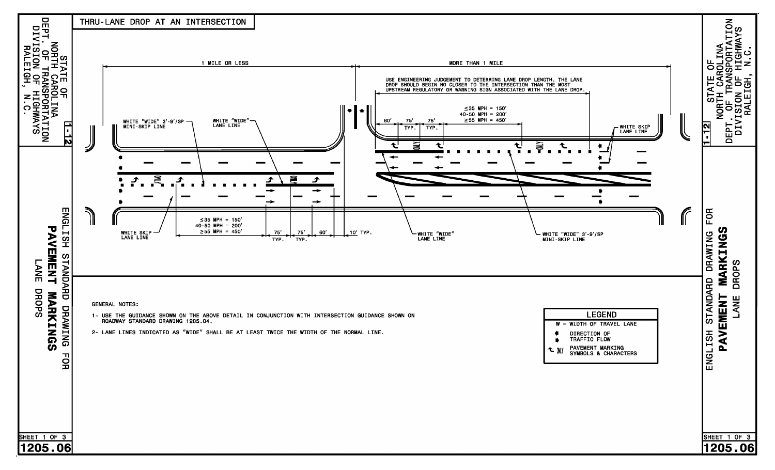![](_page_10_Figure_0.jpeg)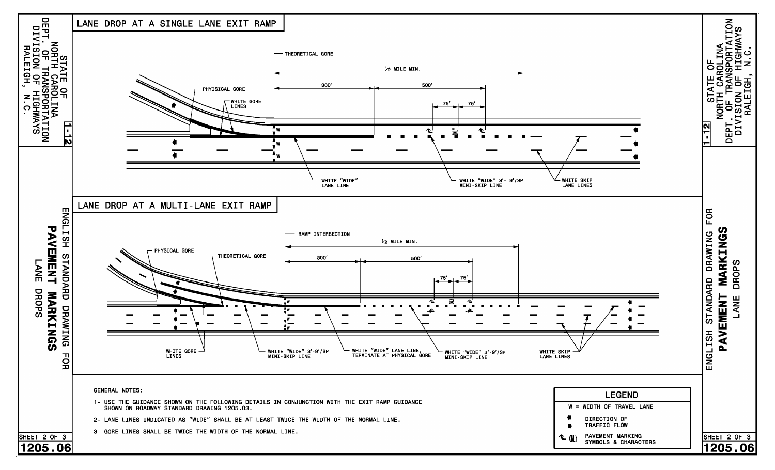![](_page_11_Figure_0.jpeg)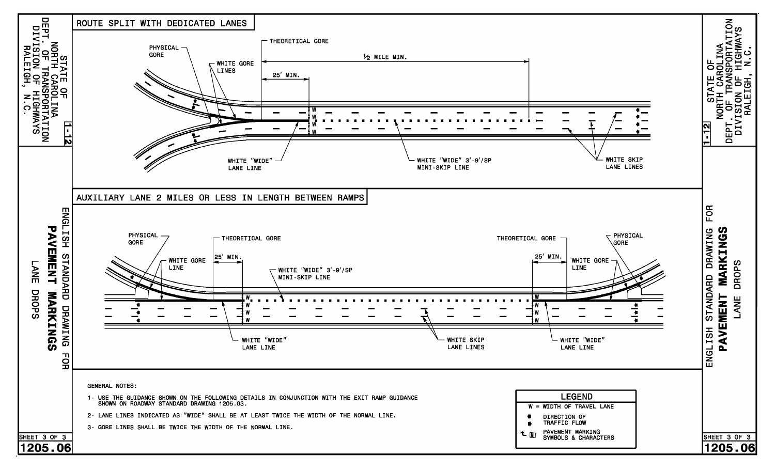![](_page_12_Figure_0.jpeg)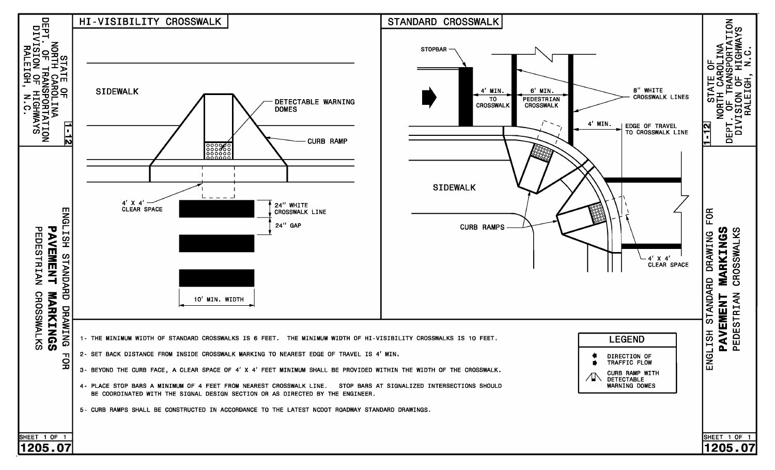![](_page_13_Figure_0.jpeg)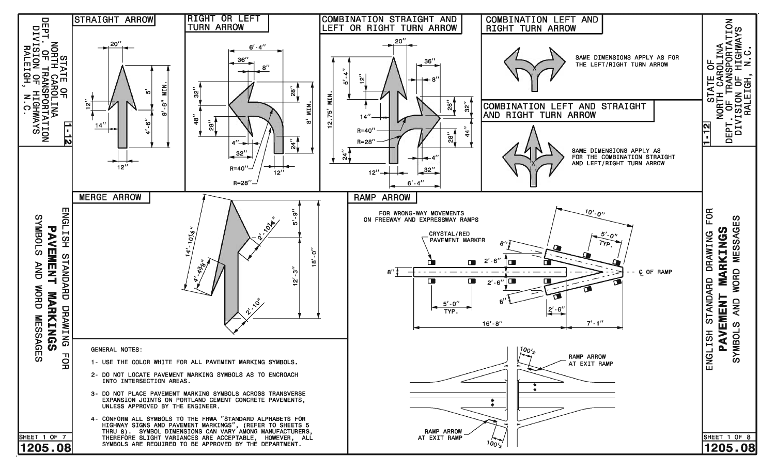![](_page_14_Figure_0.jpeg)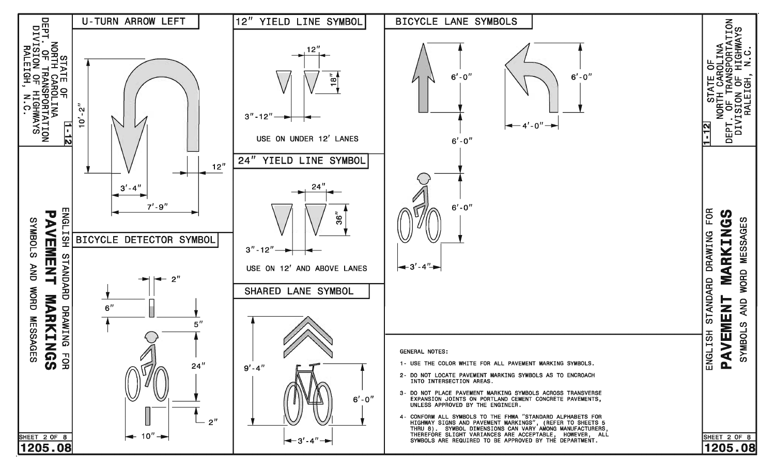![](_page_15_Figure_0.jpeg)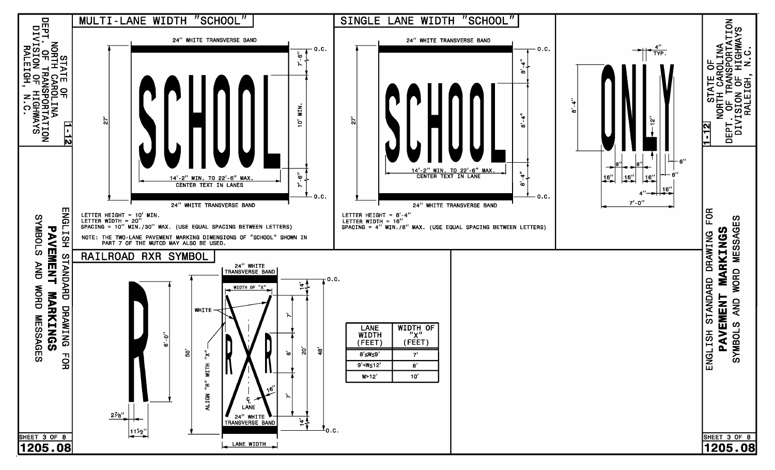![](_page_16_Figure_0.jpeg)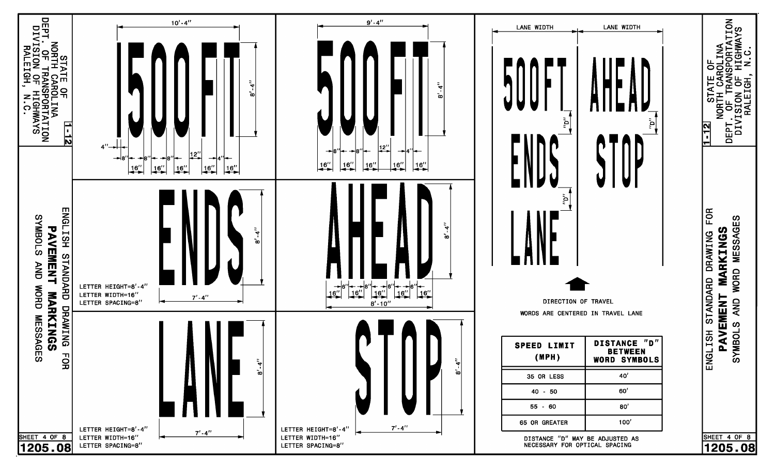![](_page_17_Figure_0.jpeg)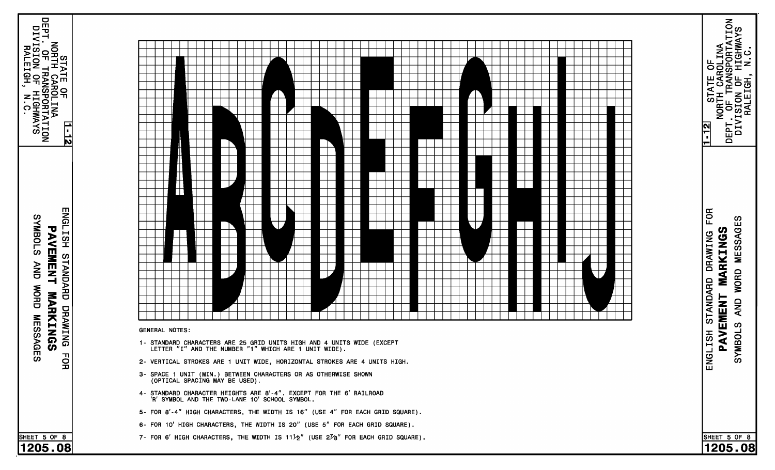![](_page_18_Figure_0.jpeg)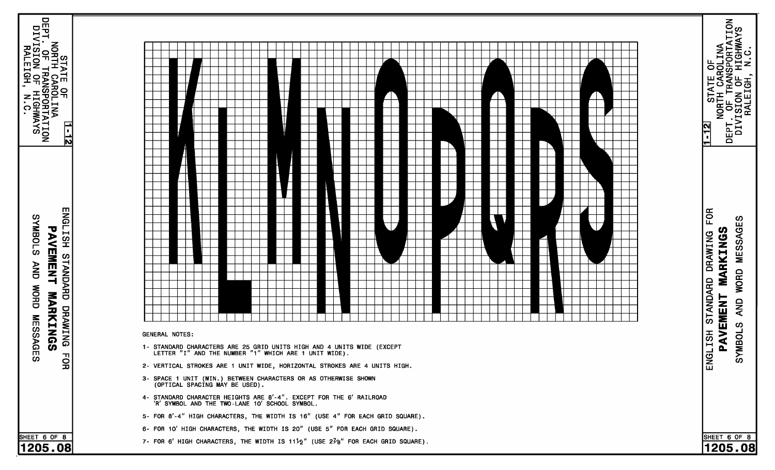![](_page_19_Figure_0.jpeg)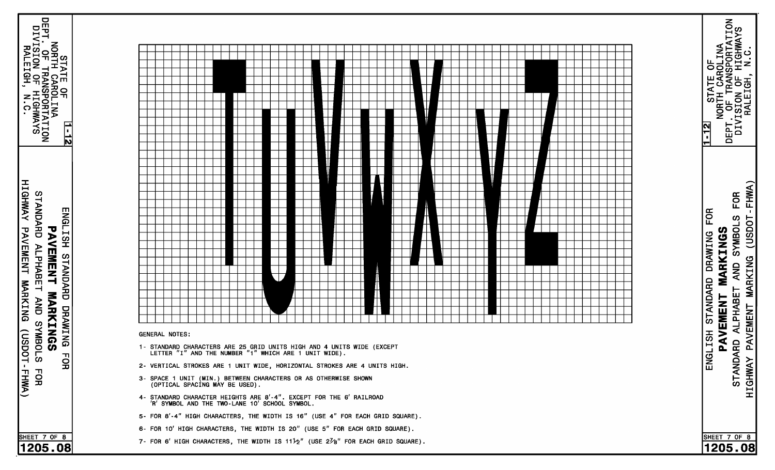![](_page_20_Figure_0.jpeg)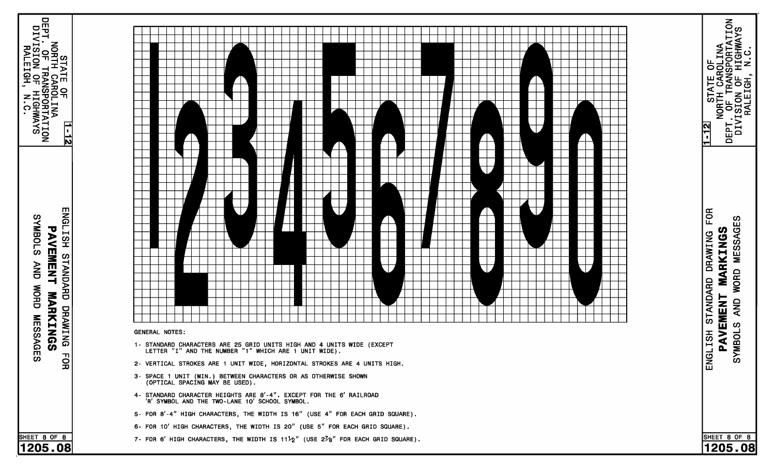![](_page_21_Figure_0.jpeg)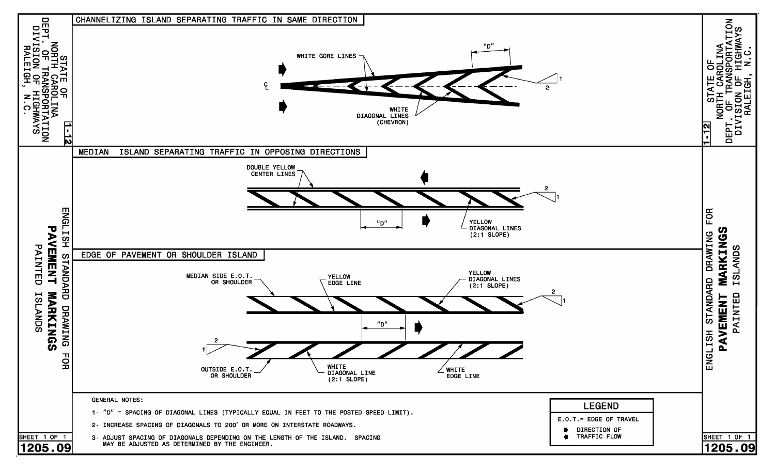![](_page_22_Figure_0.jpeg)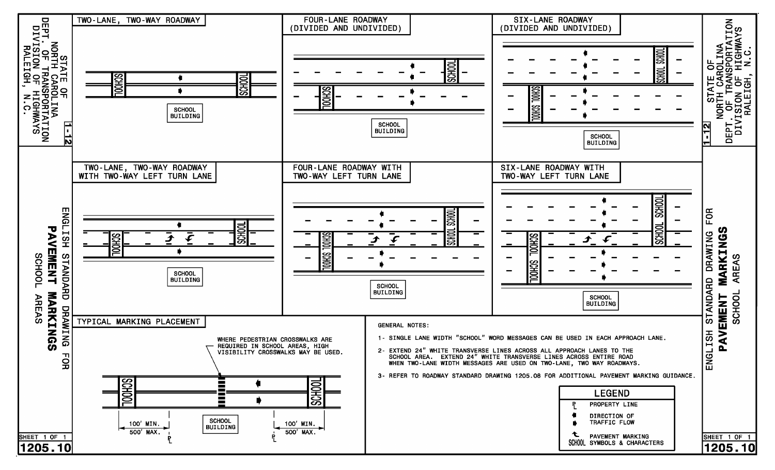![](_page_23_Figure_0.jpeg)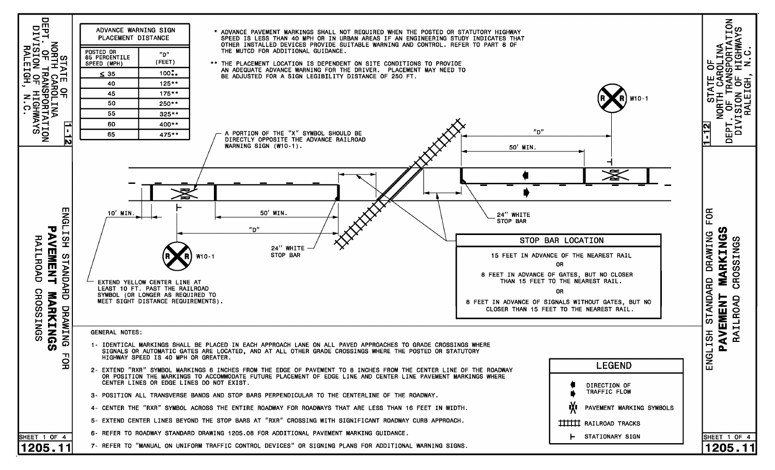![](_page_24_Figure_0.jpeg)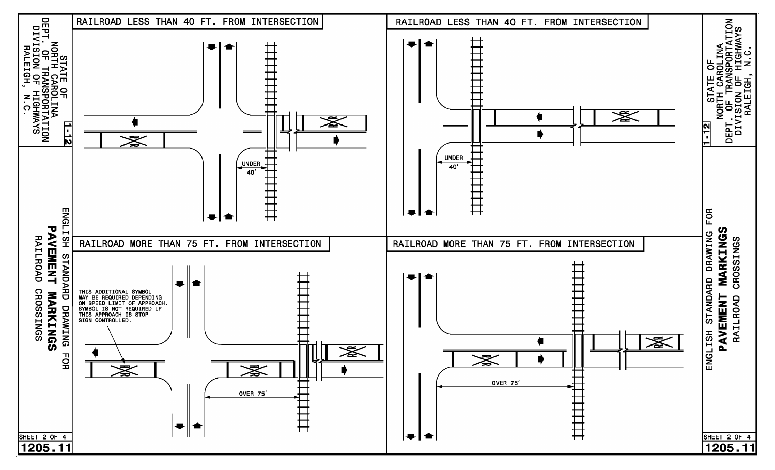![](_page_25_Figure_0.jpeg)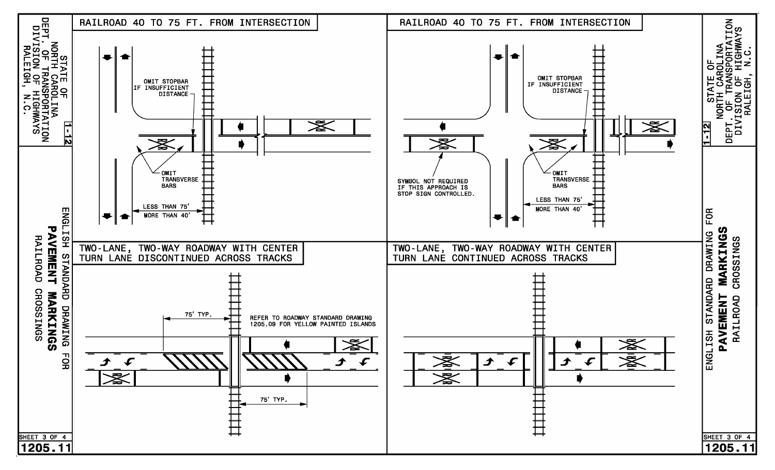![](_page_26_Figure_0.jpeg)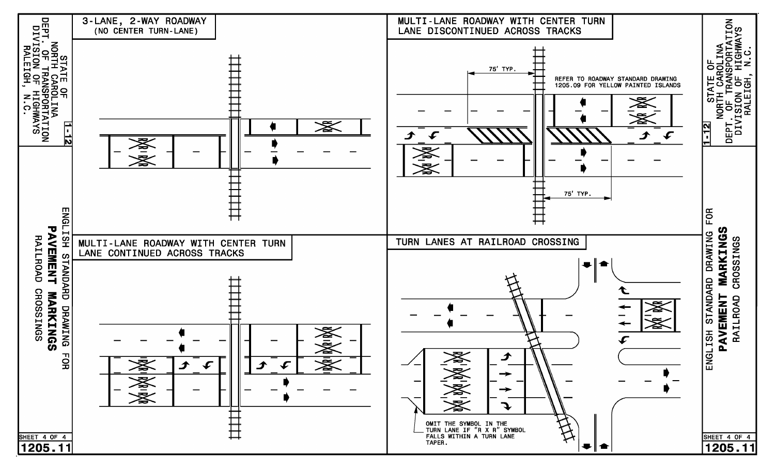![](_page_27_Figure_0.jpeg)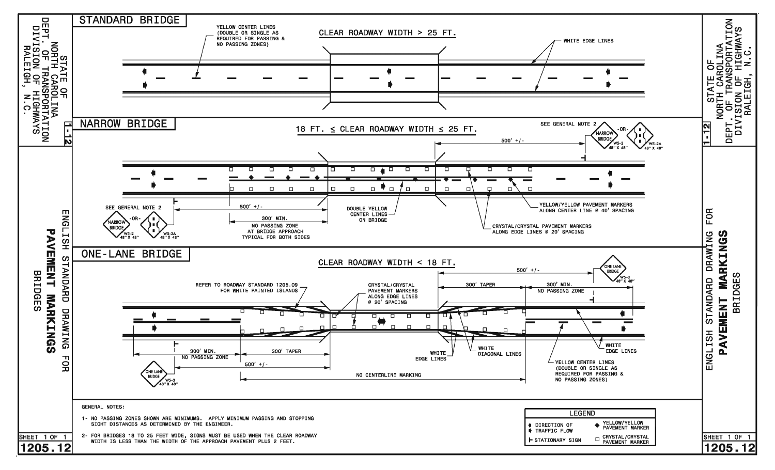![](_page_28_Figure_0.jpeg)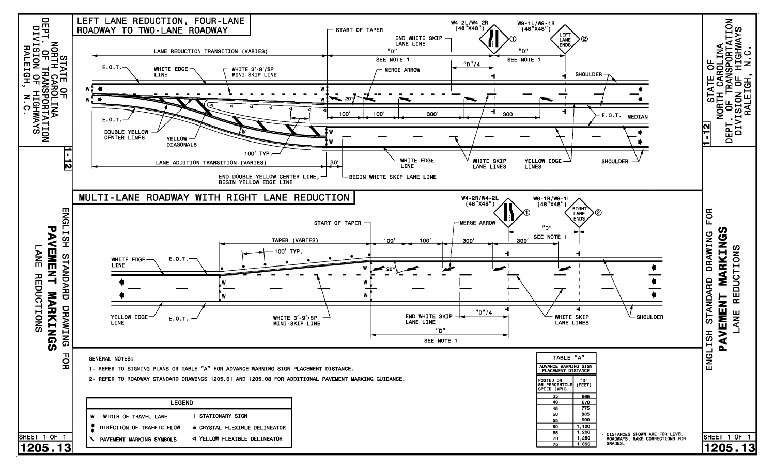![](_page_29_Figure_0.jpeg)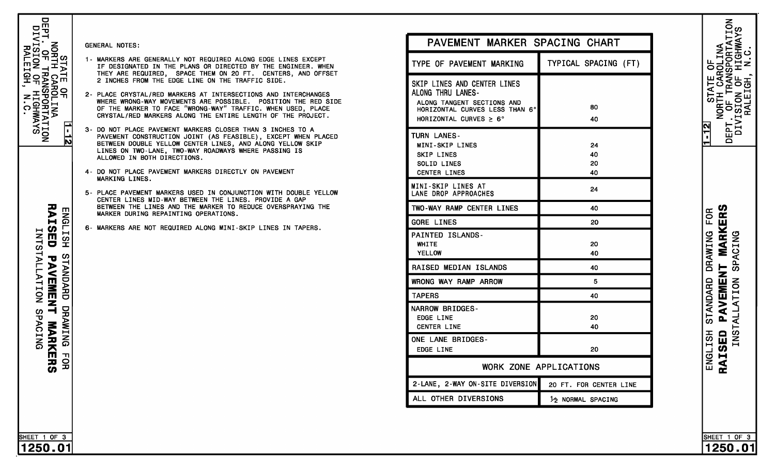![](_page_30_Picture_0.jpeg)

 $\frac{1}{1}$ 

SHEET 1 OF 3

1250.01

5- PLACE PAVEMENT MARKERS USED IN CONJUNCTION WITH DOUBLE YELLOW

 BETWEEN DOUBLE YELLOW CENTER LINES, AND ALONG YELLOW SKIP PAVEMENT CONSTRUCTION JOINT (AS FEASIBLE), EXCEPT WHEN PLACED  CRYSTAL/RED MARKERS ALONG THE ENTIRE LENGTH OF THE PROJECT. OF THE MARKER TO FACE "WRONG-WAY" TRAFFIC. WHEN USED, PLACE WHERE WRONG-WAY MOVEMENTS ARE POSSIBLE. POSITION THE RED SIDE  $\overline{a}$   THEY ARE REQUIRED, SPACE THEM ON 20 FT. CENTERS, AND OFFSET IF DESIGNATED IN THE PLANS OR DIRECTED BY THE ENGINEER. WHEN 1- MARKERS ARE GENERALLY NOT REQUIRED ARE GENERALLY NOT REQUIRED ALONG EDGE LINES EXCEPT ALONG EDGE LINES EXCEPT ALONG EDGE LINES EXCEPT ARE GENERALLY NOT REQUIRED ALONG EDGE LINES EXCEPT ALONG EDGE LINES EXCEPT ALONG EXCE

- C<br>N T<br>C
- FI<br>Li<br>Gor<br>Gor<br>Gor WRONG WAY RAMP ARROW NT ETE . E<br>DE .<br>T<br>R<br>E<br>E E<br>O<br>O A<br>E<br>E N<br>C<br>I RI<br>D<br>|<br>| SKIP LINES E<br>C LENE DROP DROP APPROACHES IT SHIFTER ME TURN LANES<br>E T<br>A A<br>E<br>EDGE 2-WAY ONES ONE LANE BRIDGES-NARROW BRIDGES-TREA,SC RAAL NOTES:<br>
MARKERS ARE GENERALLY NOT REAGUIRED ALONG ET<br>
THEY ARE NEGUIRED, SPACE THEM ON 20 FT.<br>
PLACE CRYSTAL/RED MARKERS AT INTERSECTIONS<br>
WHERE WRONG-WAY MOVEMENTS ARE POSSIBLE. PO<br>
ON NOT PLACE PAVEMENT MARKERS CLOS
- 
- IA LIEEA JA
- 

| PAVEMENT MARKER SPACING CHART                                                                                                                          |                        |
|--------------------------------------------------------------------------------------------------------------------------------------------------------|------------------------|
| TYPE OF PAVEMENT MARKING                                                                                                                               | TYPICAL SPACING (FT)   |
| SKIP LINES AND CENTER LINES<br>ALONG THRU LANES-<br>ALONG TANGENT SECTIONS AND<br>HORIZONTAL CURVES LESS THAN 6°<br>HORIZONTAL CURVES $\geq 6^{\circ}$ | 80<br>40               |
| <b>TURN LANES-</b><br>MINI-SKIP LINES<br><b>SKIP LINES</b><br>SOLID LINES<br><b>CENTER LINES</b>                                                       | 24<br>40<br>20<br>40   |
| MINI-SKIP LINES AT<br>LANE DROP APPROACHES                                                                                                             | 24                     |
| TWO-WAY RAMP CENTER LINES                                                                                                                              | 40                     |
| <b>GORE LINES</b>                                                                                                                                      | 20                     |
| <b>PAINTED ISLANDS-</b><br>WHITE<br><b>YELLOW</b>                                                                                                      | 20<br>40               |
| RAISED MEDIAN ISLANDS                                                                                                                                  | 40                     |
| WRONG WAY RAMP ARROW                                                                                                                                   | 5                      |
| <b>TAPERS</b>                                                                                                                                          | 40                     |
| <b>NARROW BRIDGES-</b><br><b>EDGE LINE</b><br><b>CENTER LINE</b>                                                                                       | 20<br>40               |
| ONE LANE BRIDGES-<br><b>EDGE LINE</b>                                                                                                                  | 20                     |
| <b>WORK ZONE APPLICATIONS</b>                                                                                                                          |                        |
| 2-LANE, 2-WAY ON-SITE DIVERSION                                                                                                                        | 20 FT. FOR CENTER LINE |
| ALL OTHER DIVERSIONS                                                                                                                                   | 12 NORMAL SPACING      |

NORTH CAROLINA<br>DEPT. OF TRANSPORTATION<br>DIVISION OF HIGHWAYS<br>RALEIGH, N.C. ō **STATE**  $1 - 12$ **MARKERS** STANDARD DRAWING FOR **SPACING** PAVEMENT INSTALLATION

RAISED ENGLISH

SHEET 1 OF 3

1250.01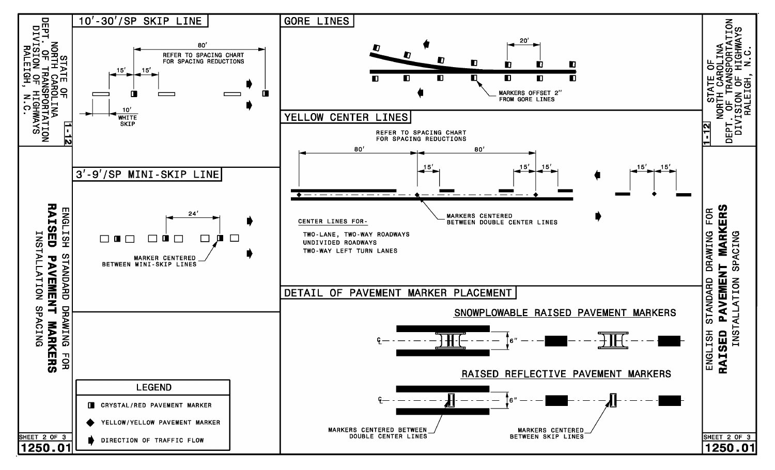![](_page_31_Figure_0.jpeg)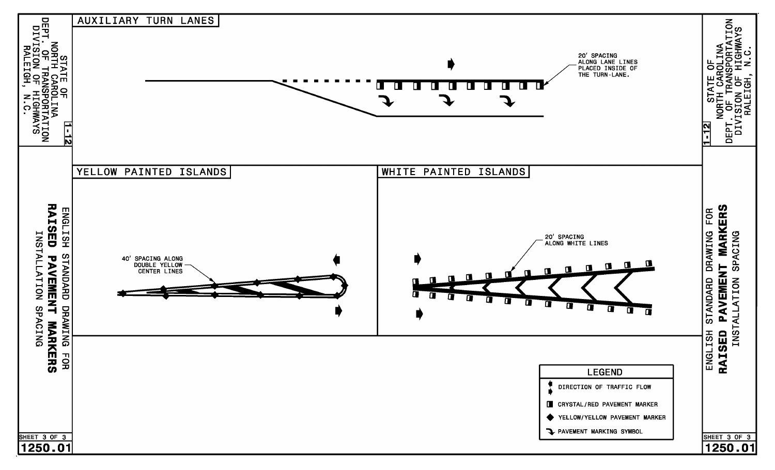![](_page_32_Figure_0.jpeg)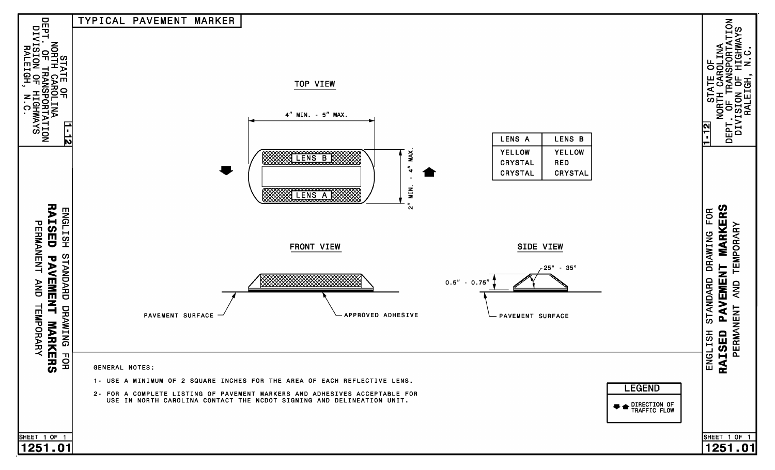![](_page_33_Figure_0.jpeg)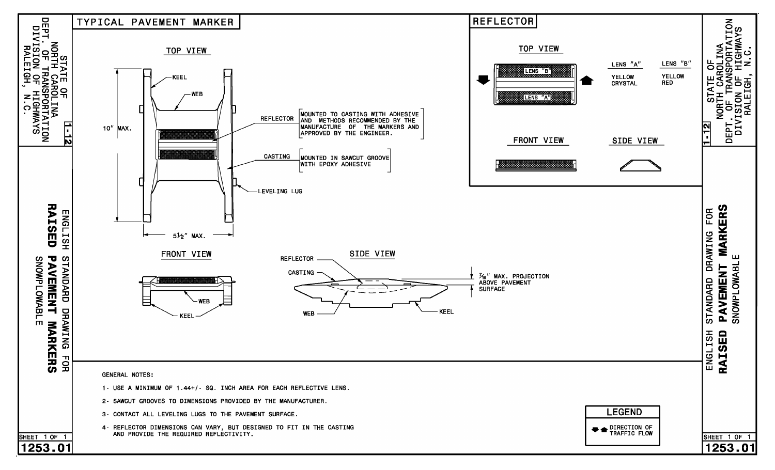![](_page_34_Figure_0.jpeg)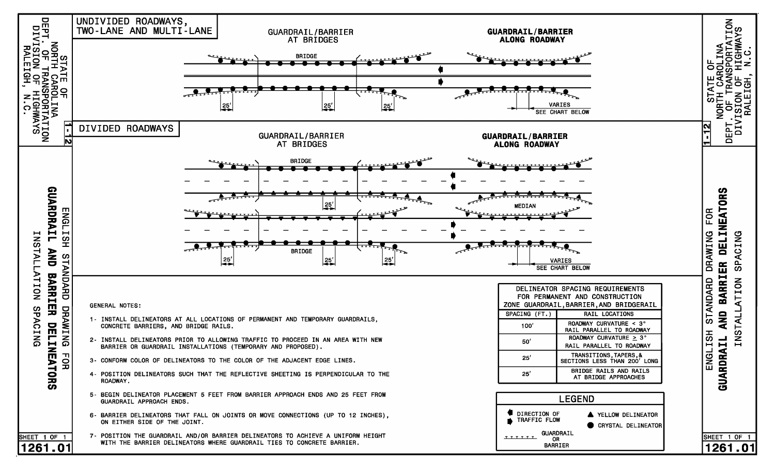![](_page_35_Figure_0.jpeg)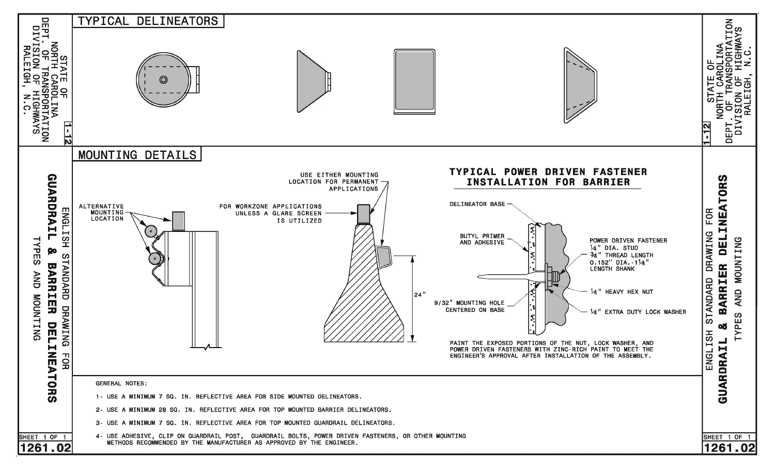![](_page_36_Figure_0.jpeg)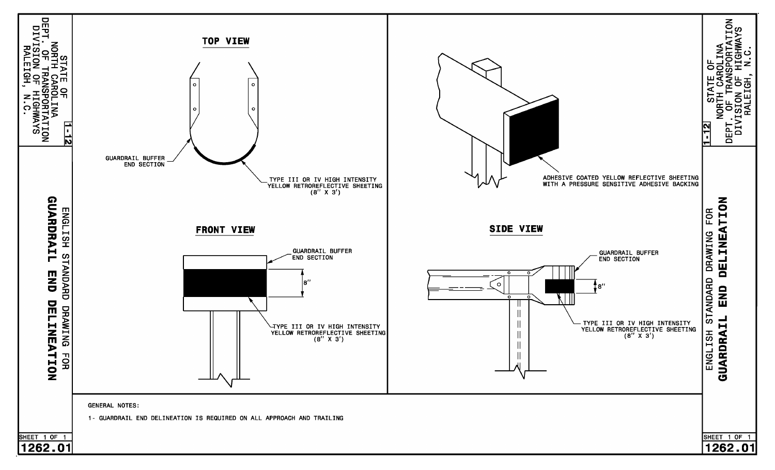![](_page_37_Figure_0.jpeg)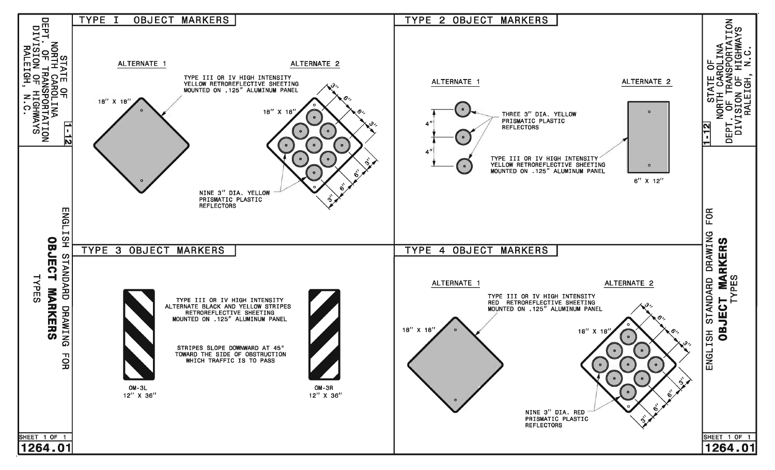![](_page_38_Figure_0.jpeg)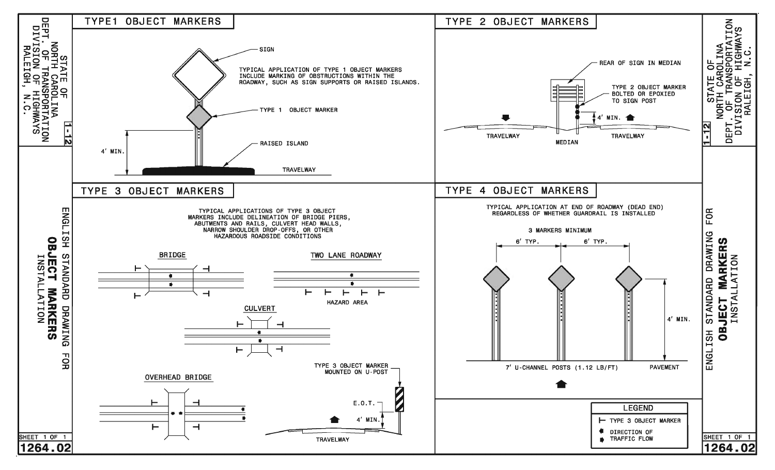![](_page_39_Figure_0.jpeg)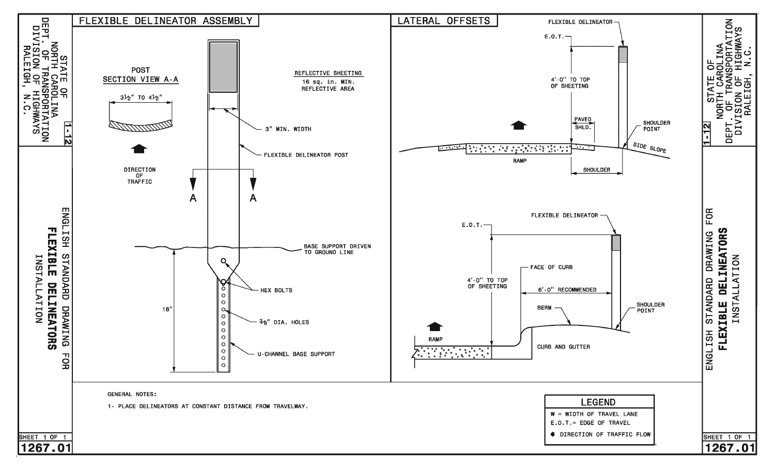![](_page_40_Figure_0.jpeg)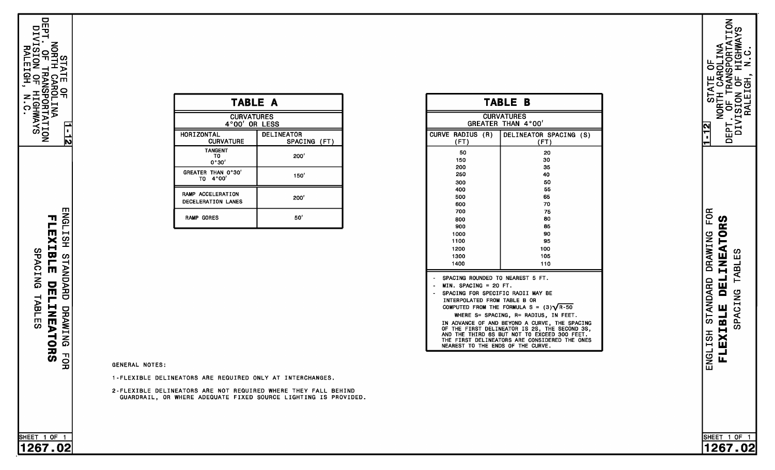$\frac{1}{2}$ 

 $\frac{1}{\sqrt{2}}$ 

| <b>TABLE A</b>                                |                                   |  |
|-----------------------------------------------|-----------------------------------|--|
| <b>CURVATURES</b><br>4°00' OR LESS            |                                   |  |
| HORIZONTAL<br><b>CURVATURE</b>                | <b>DELINEATOR</b><br>SPACING (FT) |  |
| <b>TANGENT</b><br>TO<br>0°30'                 | 200'                              |  |
| GREATER THAN 0°30'<br>4°00'<br>T <sub>0</sub> | 150'                              |  |
| RAMP ACCELERATION<br>DECELERATION LANES       | 200'                              |  |
| <b>RAMP GORES</b>                             | 50'                               |  |
|                                               |                                   |  |
|                                               |                                   |  |
|                                               |                                   |  |

SPACING (FT)

CURVATURES CURVATURES

| TABLE B                                                                                                                                                                                                                                                                                                                                                                                                                                                             |                                                                                                 |  |
|---------------------------------------------------------------------------------------------------------------------------------------------------------------------------------------------------------------------------------------------------------------------------------------------------------------------------------------------------------------------------------------------------------------------------------------------------------------------|-------------------------------------------------------------------------------------------------|--|
| <b>CURVATURES</b><br>GREATER THAN 4°00'                                                                                                                                                                                                                                                                                                                                                                                                                             |                                                                                                 |  |
| CURVE RADIUS (R)<br>(FT)                                                                                                                                                                                                                                                                                                                                                                                                                                            | DELINEATOR SPACING (S)<br>(FT)                                                                  |  |
| 50<br>150<br>200<br>250<br>300<br>400<br>500<br>600<br>700<br>800<br>900<br>1000<br>1100<br>1200<br>1300<br>1400                                                                                                                                                                                                                                                                                                                                                    | 20<br>30<br>35<br>40<br>50<br>55<br>65<br>70<br>75<br>80<br>85<br>90<br>95<br>100<br>105<br>110 |  |
| SPACING ROUNDED TO NEAREST 5 FT.<br>$MIN. SPACING = 20 FT.$<br>SPACING FOR SPECIFIC RADII MAY BE<br>INTERPOLATED FROM TABLE B OR<br>COMPUTED FROM THE FORMULA $S = (3)\sqrt{R-50}$<br>WHERE S= SPACING, R= RADIUS, IN FEET.<br>IN ADVANCE OF AND BEYOND A CURVE, THE SPACING<br>OF THE FIRST DELINEATOR IS 2S, THE SECOND 3S,<br>AND THE THIRD 6S BUT NOT TO EXCEED 300 FEET.<br>THE FIRST DELINEATORS ARE CONSIDERED THE ONES<br>NEAREST TO THE ENDS OF THE CURVE. |                                                                                                 |  |

**ENGLISH** FLEXIBLE **STANDARD** DELINEATORS DRAWING FОR

**SPACING** 

**TABLES** 

**GENERAL NOTES:** 

1-FLEXIBLE DELINEATORS ARE REQUIRED ONLY AT INTERCHANGES.

2-FLEXIBLE DELINEATORS ARE NOT REQUIRED WHERE THEY FALL BEHI<br>GUARDRAIL, OR WHERE ADEQUATE FIXED SOURCE LIGHTING IS PROV

ENGLISH STANDARD DRAWING FOR **DELINEATORS TABLES** SPACING FLEXIBLE

SHEET 1 OF 1

1267.02

![](_page_41_Picture_9.jpeg)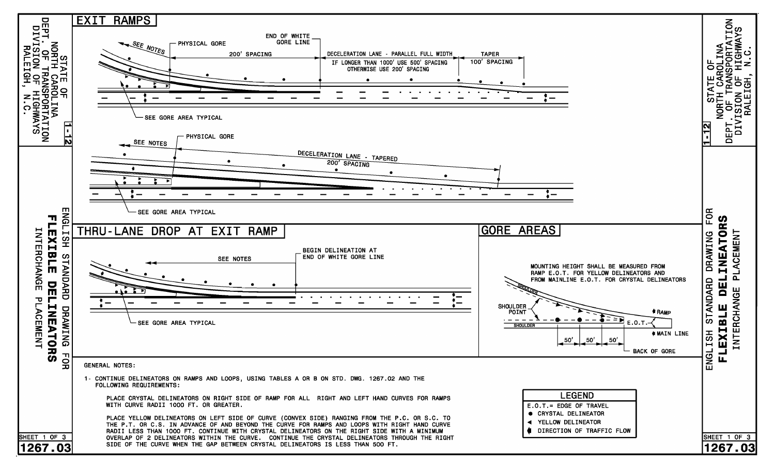![](_page_42_Figure_0.jpeg)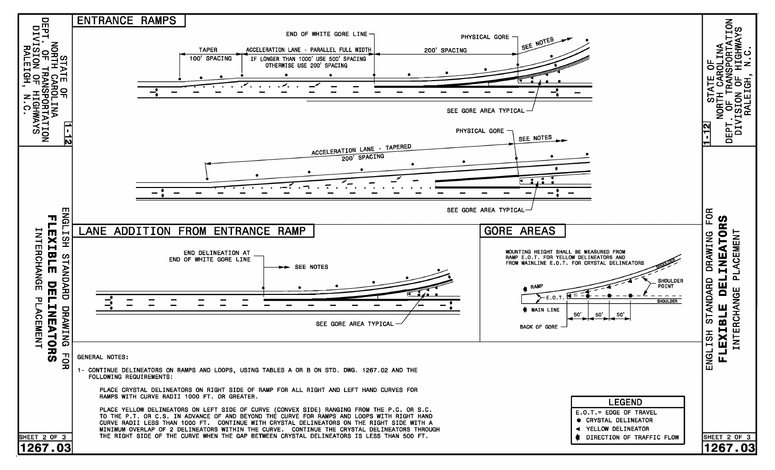![](_page_43_Figure_0.jpeg)